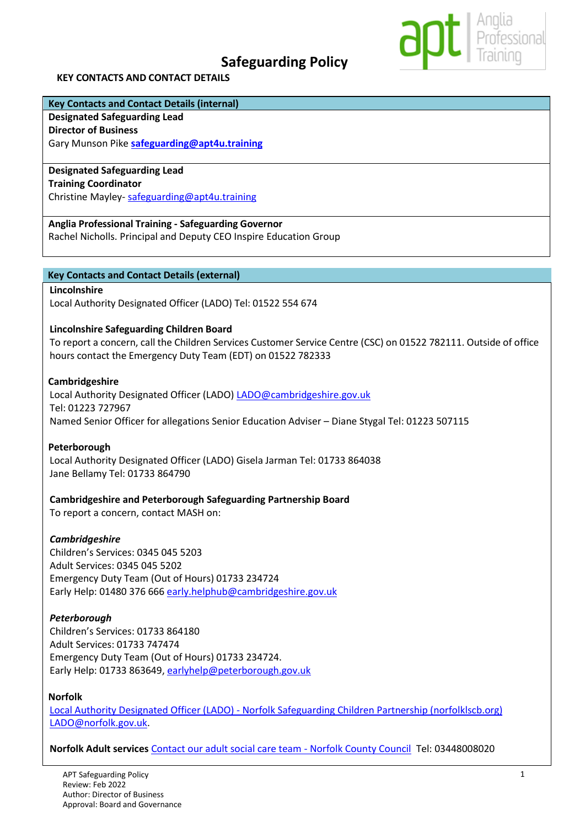# **Safeguarding Policy**



#### **KEY CONTACTS AND CONTACT DETAILS**

# **Key Contacts and Contact Details (internal)**

# **Designated Safeguarding Lead**

**Director of Business**  Gary Munson Pike **[safeguarding@apt4u.training](mailto:safeguarding@apt4u.training)**

# **Designated Safeguarding Lead**

**Training Coordinator**

Christine Mayley- [safeguarding@apt4u.training](mailto:safeguarding@apt4u.training)

**Anglia Professional Training - Safeguarding Governor**

Rachel Nicholls. Principal and Deputy CEO Inspire Education Group

# **Key Contacts and Contact Details (external)**

#### **Lincolnshire**

Local Authority Designated Officer (LADO) Tel: 01522 554 674

# **Lincolnshire Safeguarding Children Board**

To report a concern, call the Children Services Customer Service Centre (CSC) on 01522 782111. Outside of office hours contact the Emergency Duty Team (EDT) on 01522 782333

#### **Cambridgeshire**

Local Authority Designated Officer (LADO) [LADO@cambridgeshire.gov.uk](mailto:LADO@cambridgeshire.gov.uk) Tel: 01223 727967 Named Senior Officer for allegations Senior Education Adviser – Diane Stygal Tel: 01223 507115

# **Peterborough**

Local Authority Designated Officer (LADO) Gisela Jarman Tel: 01733 864038 Jane Bellamy Tel: 01733 864790

# **Cambridgeshire and Peterborough Safeguarding Partnership Board**

To report a concern, contact MASH on:

# *Cambridgeshire*

Children's Services: 0345 045 5203 Adult Services: 0345 045 5202 Emergency Duty Team (Out of Hours) 01733 234724 Early Help: 01480 376 666 [early.helphub@cambridgeshire.gov.uk](mailto:early.helphub@cambridgeshire.gov.uk)

# *Peterborough*

Children's Services: 01733 864180 Adult Services: 01733 747474 Emergency Duty Team (Out of Hours) 01733 234724. Early Help: 01733 863649, [earlyhelp@peterborough.gov.uk](mailto:earlyhelp@peterborough.gov.uk)

# **Norfolk**

Local Authority Designated Officer (LADO) - [Norfolk Safeguarding Children Partnership \(norfolklscb.org\)](https://norfolklscb.org/people-working-with-children/how-to-raise-a-concern/local-authority-designated-officer-lado/) [LADO@norfolk.gov.uk.](mailto:LADO@norfolk.gov.uk)

**Norfolk Adult services** [Contact our adult social care team -](https://www.norfolk.gov.uk/care-support-and-health/contact-our-social-care-team) Norfolk County Council Tel: 03448008020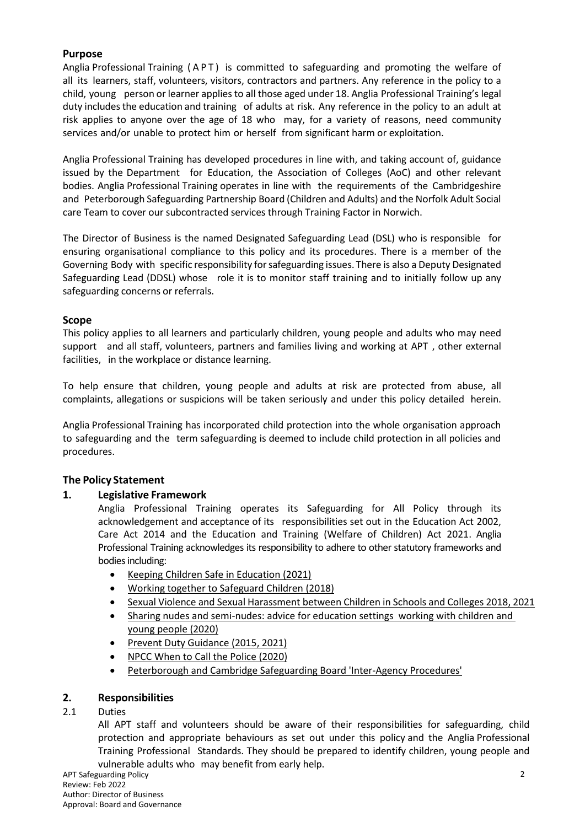# **Purpose**

Anglia Professional Training (APT) is committed to safeguarding and promoting the welfare of all its learners, staff, volunteers, visitors, contractors and partners. Any reference in the policy to a child, young person or learner applies to all those aged under 18. Anglia Professional Training's legal duty includesthe education and training of adults at risk. Any reference in the policy to an adult at risk applies to anyone over the age of 18 who may, for a variety of reasons, need community services and/or unable to protect him or herself from significant harm or exploitation.

Anglia Professional Training has developed procedures in line with, and taking account of, guidance issued by the Department for Education, the Association of Colleges (AoC) and other relevant bodies. Anglia Professional Training operates in line with the requirements of the Cambridgeshire and Peterborough Safeguarding Partnership Board (Children and Adults) and the Norfolk Adult Social care Team to cover our subcontracted services through Training Factor in Norwich.

The Director of Business is the named Designated Safeguarding Lead (DSL) who is responsible for ensuring organisational compliance to this policy and its procedures. There is a member of the Governing Body with specific responsibility forsafeguarding issues. There is also a Deputy Designated Safeguarding Lead (DDSL) whose role it is to monitor staff training and to initially follow up any safeguarding concerns or referrals.

# **Scope**

This policy applies to all learners and particularly children, young people and adults who may need support and all staff, volunteers, partners and families living and working at APT , other external facilities, in the workplace or distance learning.

To help ensure that children, young people and adults at risk are protected from abuse, all complaints, allegations or suspicions will be taken seriously and under this policy detailed herein.

Anglia Professional Training has incorporated child protection into the whole organisation approach to safeguarding and the term safeguarding is deemed to include child protection in all policies and procedures.

# **The Policy Statement**

# **1. Legislative Framework**

Anglia Professional Training operates its Safeguarding for All Policy through its acknowledgement and acceptance of its responsibilities set out in the Education Act 2002, Care Act 2014 and the Education and Training (Welfare of Children) Act 2021. Anglia Professional Training acknowledges its responsibility to adhere to other statutory frameworks and bodies including:

- [Keeping Children Safe in Education \(2021\)](https://assets.publishing.service.gov.uk/government/uploads/system/uploads/attachment_data/file/1007260/Keeping_children_safe_in_education_2021.pdf)
- [Working together to Safeguard Children \(2018\)](https://www.gov.uk/government/publications/working-together-to-safeguard-children--2)
- [Sexual Violence and Sexual Harassment between Children in Schools and Colleges 2018, 2021](https://assets.publishing.service.gov.uk/government/uploads/system/uploads/attachment_data/file/999239/SVSH_2021.pdf)
- [Sharing nudes and semi-nudes: advice for education settings working with children and](https://www.gov.uk/government/publications/sharing-nudes-and-semi-nudes-advice-for-education-settings-working-with-children-and-young-people/sharing-nudes-and-semi-nudes-advice-for-education-settings-working-with-children-and-young-people)  [young people \(2020\)](https://www.gov.uk/government/publications/sharing-nudes-and-semi-nudes-advice-for-education-settings-working-with-children-and-young-people/sharing-nudes-and-semi-nudes-advice-for-education-settings-working-with-children-and-young-people)
- [Prevent Duty Guidance \(2015, 2021\)](https://www.gov.uk/government/publications/prevent-duty-guidance)
- [NPCC When to Call the Police \(2020\)](https://www.npcc.police.uk/documents/Children%20and%20Young%20people/When%20to%20call%20the%20police%20guidance%20for%20schools%20and%20colleges.pdf)
- [Peterborough and Cambridge Safeguarding Board 'Inter-Agency Procedures'](https://www.safeguardingcambspeterborough.org.uk/)

# **2. Responsibilities**

# 2.1 Duties

All APT staff and volunteers should be aware of their responsibilities for safeguarding, child protection and appropriate behaviours as set out under this policy and the Anglia Professional Training Professional Standards. They should be prepared to identify children, young people and vulnerable adults who may benefit from early help.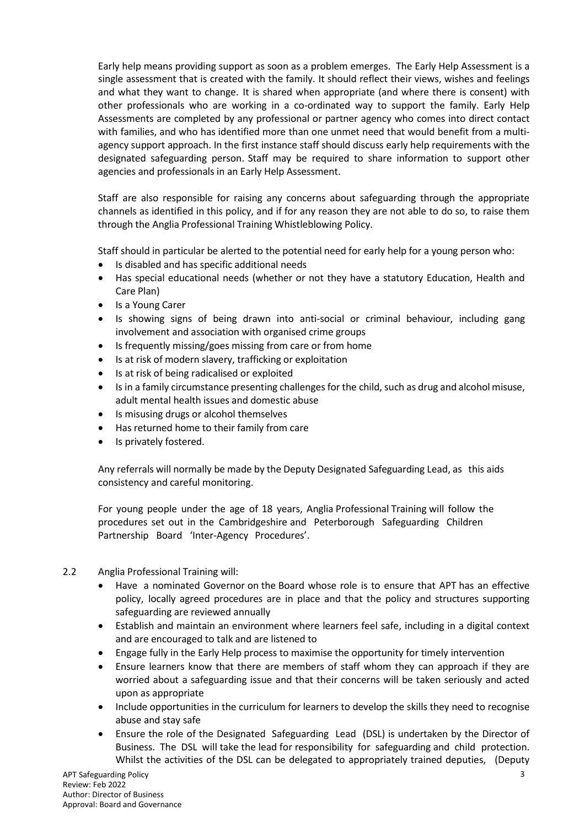Early help means providing support as soon as a problem emerges. The Early Help Assessment is a single assessment that is created with the family. It should reflect their views, wishes and feelings and what they want to change. It is shared when appropriate (and where there is consent) with other professionals who are working in a co-ordinated way to support the family. Early Help Assessments are completed by any professional or partner agency who comes into direct contact with families, and who has identified more than one unmet need that would benefit from a multiagency support approach. In the first instance staff should discuss early help requirements with the designated safeguarding person. Staff may be required to share information to support other agencies and professionals in an Early Help Assessment.

Staff are also responsible for raising any concerns about safeguarding through the appropriate channels as identified in this policy, and if for any reason they are not able to do so, to raise them through the Anglia Professional Training Whistleblowing Policy.

Staff should in particular be alerted to the potential need for early help for a young person who:

- Is disabled and has specific additional needs
- Has special educational needs (whether or not they have a statutory Education, Health and Care Plan)
- Is a Young Carer
- Is showing signs of being drawn into anti-social or criminal behaviour, including gang involvement and association with organised crime groups
- Is frequently missing/goes missing from care or from home
- Is at risk of modern slavery, trafficking or exploitation
- Is at risk of being radicalised or exploited
- Is in a family circumstance presenting challenges for the child, such as drug and alcohol misuse, adult mental health issues and domestic abuse
- Is misusing drugs or alcohol themselves
- Has returned home to their family from care
- Is privately fostered.

Any referrals will normally be made by the Deputy Designated Safeguarding Lead, as this aids consistency and careful monitoring.

For young people under the age of 18 years, Anglia Professional Training will follow the procedures set out in the Cambridgeshire and Peterborough Safeguarding Children Partnership Board 'Inter-Agency Procedures'.

# 2.2 Anglia Professional Training will:

- Have a nominated Governor on the Board whose role is to ensure that APT has an effective policy, locally agreed procedures are in place and that the policy and structures supporting safeguarding are reviewed annually
- Establish and maintain an environment where learners feel safe, including in a digital context and are encouraged to talk and are listened to
- Engage fully in the Early Help process to maximise the opportunity for timely intervention
- Ensure learners know that there are members of staff whom they can approach if they are worried about a safeguarding issue and that their concerns will be taken seriously and acted upon as appropriate
- Include opportunities in the curriculum for learners to develop the skills they need to recognise abuse and stay safe
- Ensure the role of the Designated Safeguarding Lead (DSL) is undertaken by the Director of Business. The DSL will take the lead for responsibility for safeguarding and child protection. Whilst the activities of the DSL can be delegated to appropriately trained deputies, (Deputy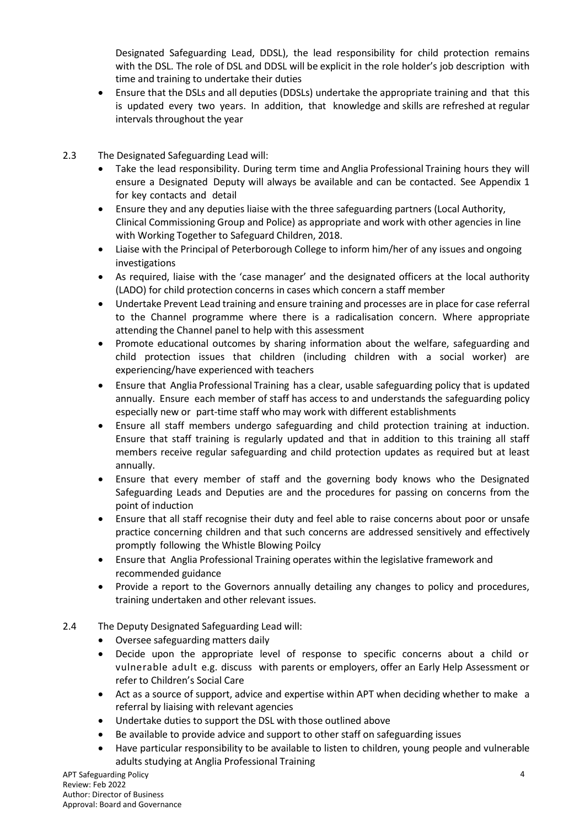Designated Safeguarding Lead, DDSL), the lead responsibility for child protection remains with the DSL. The role of DSL and DDSL will be explicit in the role holder's job description with time and training to undertake their duties

- Ensure that the DSLs and all deputies (DDSLs) undertake the appropriate training and that this is updated every two years. In addition, that knowledge and skills are refreshed at regular intervals throughout the year
- 2.3 The Designated Safeguarding Lead will:
	- Take the lead responsibility. During term time and Anglia Professional Training hours they will ensure a Designated Deputy will always be available and can be contacted. See Appendix 1 for key contacts and detail
	- Ensure they and any deputies liaise with the three safeguarding partners (Local Authority, Clinical Commissioning Group and Police) as appropriate and work with other agencies in line with Working Together to Safeguard Children, 2018.
	- Liaise with the Principal of Peterborough College to inform him/her of any issues and ongoing investigations
	- As required, liaise with the 'case manager' and the designated officers at the local authority (LADO) for child protection concerns in cases which concern a staff member
	- Undertake Prevent Lead training and ensure training and processes are in place for case referral to the Channel programme where there is a radicalisation concern. Where appropriate attending the Channel panel to help with this assessment
	- Promote educational outcomes by sharing information about the welfare, safeguarding and child protection issues that children (including children with a social worker) are experiencing/have experienced with teachers
	- Ensure that Anglia Professional Training has a clear, usable safeguarding policy that is updated annually. Ensure each member of staff has access to and understands the safeguarding policy especially new or part-time staff who may work with different establishments
	- Ensure all staff members undergo safeguarding and child protection training at induction. Ensure that staff training is regularly updated and that in addition to this training all staff members receive regular safeguarding and child protection updates as required but at least annually.
	- Ensure that every member of staff and the governing body knows who the Designated Safeguarding Leads and Deputies are and the procedures for passing on concerns from the point of induction
	- Ensure that all staff recognise their duty and feel able to raise concerns about poor or unsafe practice concerning children and that such concerns are addressed sensitively and effectively promptly following the Whistle Blowing Poilcy
	- Ensure that Anglia Professional Training operates within the legislative framework and recommended guidance
	- Provide a report to the Governors annually detailing any changes to policy and procedures, training undertaken and other relevant issues.
- 2.4 The Deputy Designated Safeguarding Lead will:
	- Oversee safeguarding matters daily
	- Decide upon the appropriate level of response to specific concerns about a child or vulnerable adult e.g. discuss with parents or employers, offer an Early Help Assessment or refer to Children's Social Care
	- Act as a source of support, advice and expertise within APT when deciding whether to make a referral by liaising with relevant agencies
	- Undertake duties to support the DSL with those outlined above
	- Be available to provide advice and support to other staff on safeguarding issues
	- Have particular responsibility to be available to listen to children, young people and vulnerable adults studying at Anglia Professional Training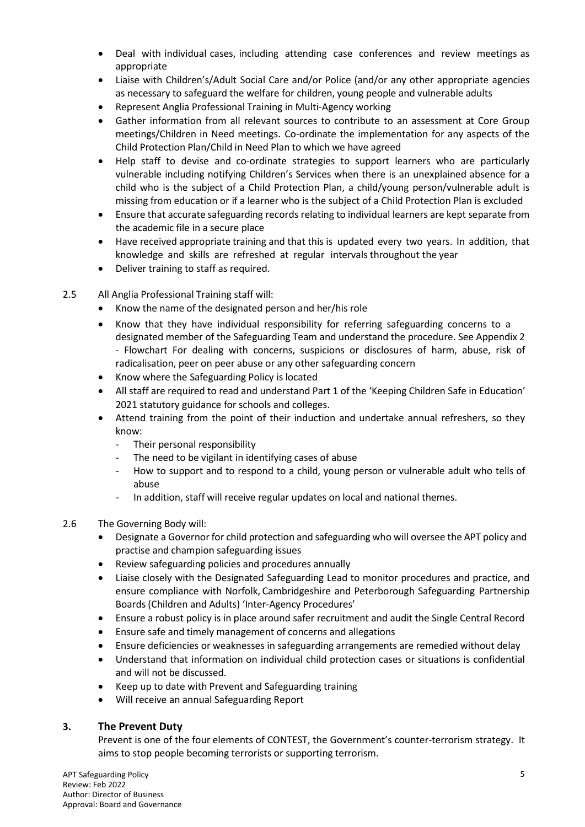- Deal with individual cases, including attending case conferences and review meetings as appropriate
- Liaise with Children's/Adult Social Care and/or Police (and/or any other appropriate agencies as necessary to safeguard the welfare for children, young people and vulnerable adults
- Represent Anglia Professional Training in Multi-Agency working
- Gather information from all relevant sources to contribute to an assessment at Core Group meetings/Children in Need meetings. Co-ordinate the implementation for any aspects of the Child Protection Plan/Child in Need Plan to which we have agreed
- Help staff to devise and co-ordinate strategies to support learners who are particularly vulnerable including notifying Children's Services when there is an unexplained absence for a child who is the subject of a Child Protection Plan, a child/young person/vulnerable adult is missing from education or if a learner who is the subject of a Child Protection Plan is excluded
- Ensure that accurate safeguarding records relating to individual learners are kept separate from the academic file in a secure place
- Have received appropriate training and that this is updated every two years. In addition, that knowledge and skills are refreshed at regular intervalsthroughout the year
- Deliver training to staff as required.
- 2.5 All Anglia Professional Training staff will:
	- Know the name of the designated person and her/his role
	- Know that they have individual responsibility for referring safeguarding concerns to a designated member of the Safeguarding Team and understand the procedure. See Appendix 2 - Flowchart For dealing with concerns, suspicions or disclosures of harm, abuse, risk of radicalisation, peer on peer abuse or any other safeguarding concern
	- Know where the Safeguarding Policy is located
	- All staff are required to read and understand Part 1 of the 'Keeping Children Safe in Education' 2021 statutory guidance for schools and colleges.
	- Attend training from the point of their induction and undertake annual refreshers, so they know:
		- Their personal responsibility
		- The need to be vigilant in identifying cases of abuse
		- How to support and to respond to a child, young person or vulnerable adult who tells of abuse
		- In addition, staff will receive regular updates on local and national themes.
- 2.6 The Governing Body will:
	- Designate a Governor for child protection and safeguarding who will oversee the APT policy and practise and champion safeguarding issues
	- Review safeguarding policies and procedures annually
	- Liaise closely with the Designated Safeguarding Lead to monitor procedures and practice, and ensure compliance with Norfolk, Cambridgeshire and Peterborough Safeguarding Partnership Boards (Children and Adults) 'Inter-Agency Procedures'
	- Ensure a robust policy is in place around safer recruitment and audit the Single Central Record
	- Ensure safe and timely management of concerns and allegations
	- Ensure deficiencies or weaknesses in safeguarding arrangements are remedied without delay
	- Understand that information on individual child protection cases or situations is confidential and will not be discussed.
	- Keep up to date with Prevent and Safeguarding training
	- Will receive an annual Safeguarding Report

# **3. The Prevent Duty**

Prevent is one of the four elements of CONTEST, the Government's counter-terrorism strategy. It aims to stop people becoming terrorists or supporting terrorism.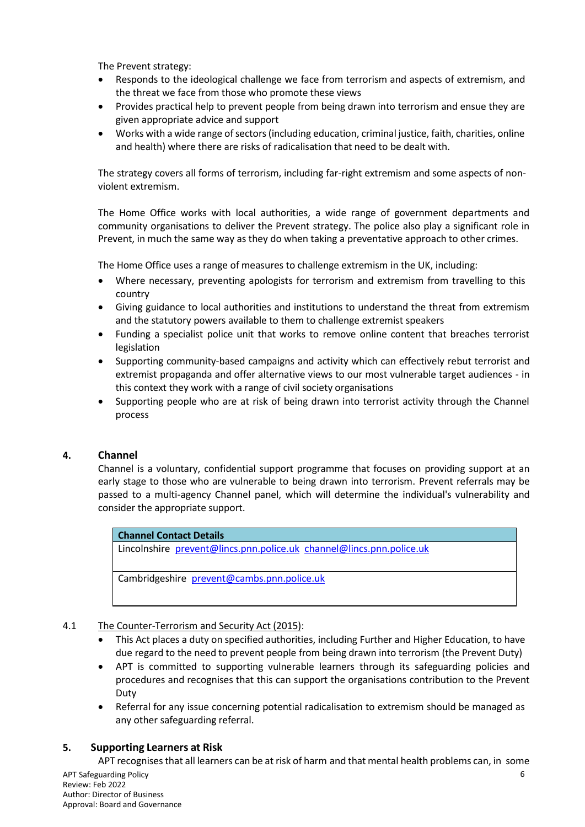The Prevent strategy:

- Responds to the ideological challenge we face from terrorism and aspects of extremism, and the threat we face from those who promote these views
- Provides practical help to prevent people from being drawn into terrorism and ensue they are given appropriate advice and support
- Works with a wide range of sectors (including education, criminal justice, faith, charities, online and health) where there are risks of radicalisation that need to be dealt with.

The strategy covers all forms of terrorism, including far-right extremism and some aspects of nonviolent extremism.

The Home Office works with local authorities, a wide range of government departments and community organisations to deliver the Prevent strategy. The police also play a significant role in Prevent, in much the same way as they do when taking a preventative approach to other crimes.

The Home Office uses a range of measures to challenge extremism in the UK, including:

- Where necessary, preventing apologists for terrorism and extremism from travelling to this country
- Giving guidance to local authorities and institutions to understand the threat from extremism and the statutory powers available to them to challenge extremist speakers
- Funding a specialist police unit that works to remove online content that breaches terrorist legislation
- Supporting community-based campaigns and activity which can effectively rebut terrorist and extremist propaganda and offer alternative views to our most vulnerable target audiences - in this context they work with a range of civil society organisations
- Supporting people who are at risk of being drawn into terrorist activity through the Channel process

# **4. Channel**

Channel is a voluntary, confidential support programme that focuses on providing support at an early stage to those who are vulnerable to being drawn into terrorism. Prevent referrals may be passed to a multi-agency Channel panel, which will determine the individual's vulnerability and consider the appropriate support.

**Channel Contact Details** Lincolnshire [prevent@lincs.pnn.police.uk](mailto:prevent@lincs.pnn.police.uk) [channel@lincs.pnn.police.uk](mailto:channel@lincs.pnn.police.uk) Cambridgeshire [prevent@cambs.pnn.police.uk](mailto:prevent@cambs.pnn.police.uk)

# 4.1 The Counter-Terrorism and Security Act (2015):

- This Act places a duty on specified authorities, including Further and Higher Education, to have due regard to the need to prevent people from being drawn into terrorism (the Prevent Duty)
- APT is committed to supporting vulnerable learners through its safeguarding policies and procedures and recognises that this can support the organisations contribution to the Prevent Duty
- Referral for any issue concerning potential radicalisation to extremism should be managed as any other safeguarding referral.

# **5. Supporting Learners at Risk**

APT recognisesthat all learners can be at risk of harm and that mental health problems can, in some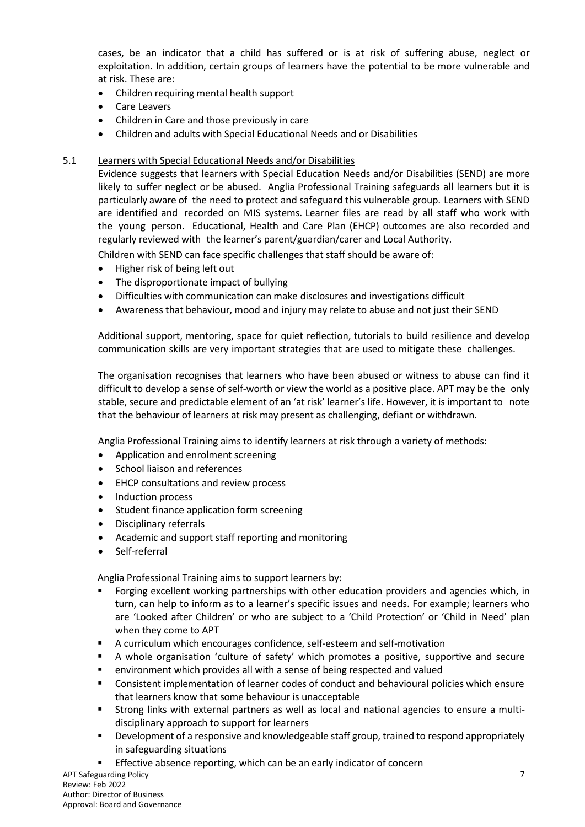cases, be an indicator that a child has suffered or is at risk of suffering abuse, neglect or exploitation. In addition, certain groups of learners have the potential to be more vulnerable and at risk. These are:

- Children requiring mental health support
- Care Leavers
- Children in Care and those previously in care
- Children and adults with Special Educational Needs and or Disabilities

# 5.1 Learners with Special Educational Needs and/or Disabilities

Evidence suggests that learners with Special Education Needs and/or Disabilities (SEND) are more likely to suffer neglect or be abused. Anglia Professional Training safeguards all learners but it is particularly aware of the need to protect and safeguard this vulnerable group. Learners with SEND are identified and recorded on MIS systems. Learner files are read by all staff who work with the young person. Educational, Health and Care Plan (EHCP) outcomes are also recorded and regularly reviewed with the learner's parent/guardian/carer and Local Authority.

Children with SEND can face specific challenges that staff should be aware of:

- Higher risk of being left out
- The disproportionate impact of bullying
- Difficulties with communication can make disclosures and investigations difficult
- Awareness that behaviour, mood and injury may relate to abuse and not just their SEND

Additional support, mentoring, space for quiet reflection, tutorials to build resilience and develop communication skills are very important strategies that are used to mitigate these challenges.

The organisation recognises that learners who have been abused or witness to abuse can find it difficult to develop a sense of self-worth or view the world as a positive place. APT may be the only stable, secure and predictable element of an 'at risk' learner's life. However, it is important to note that the behaviour of learners at risk may present as challenging, defiant or withdrawn.

Anglia Professional Training aims to identify learners at risk through a variety of methods:

- Application and enrolment screening
- School liaison and references
- EHCP consultations and review process
- Induction process
- Student finance application form screening
- Disciplinary referrals
- Academic and support staff reporting and monitoring
- Self-referral

Anglia Professional Training aims to support learners by:

- Forging excellent working partnerships with other education providers and agencies which, in turn, can help to inform as to a learner's specific issues and needs. For example; learners who are 'Looked after Children' or who are subject to a 'Child Protection' or 'Child in Need' plan when they come to APT
- A curriculum which encourages confidence, self-esteem and self-motivation
- A whole organisation 'culture of safety' which promotes a positive, supportive and secure
- environment which provides all with a sense of being respected and valued
- Consistent implementation of learner codes of conduct and behavioural policies which ensure that learners know that some behaviour is unacceptable
- Strong links with external partners as well as local and national agencies to ensure a multidisciplinary approach to support for learners
- Development of a responsive and knowledgeable staff group, trained to respond appropriately in safeguarding situations

APT Safeguarding Policy Review: Feb 2022 Author: Director of Business Approval: Board and Governance Effective absence reporting, which can be an early indicator of concern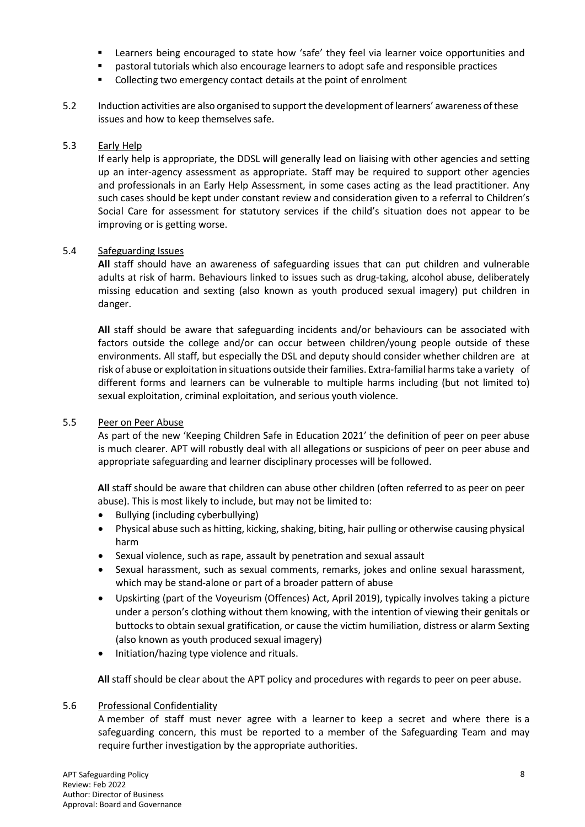- Learners being encouraged to state how 'safe' they feel via learner voice opportunities and
- pastoral tutorials which also encourage learners to adopt safe and responsible practices
- Collecting two emergency contact details at the point of enrolment
- 5.2 Induction activities are also organised to supportthe development of learners' awareness ofthese issues and how to keep themselves safe.

# 5.3 Early Help

If early help is appropriate, the DDSL will generally lead on liaising with other agencies and setting up an inter-agency assessment as appropriate. Staff may be required to support other agencies and professionals in an Early Help Assessment, in some cases acting as the lead practitioner. Any such cases should be kept under constant review and consideration given to a referral to Children's Social Care for assessment for statutory services if the child's situation does not appear to be improving or is getting worse.

# 5.4 Safeguarding Issues

**All** staff should have an awareness of safeguarding issues that can put children and vulnerable adults at risk of harm. Behaviours linked to issues such as drug-taking, alcohol abuse, deliberately missing education and sexting (also known as youth produced sexual imagery) put children in danger.

**All** staff should be aware that safeguarding incidents and/or behaviours can be associated with factors outside the college and/or can occur between children/young people outside of these environments. All staff, but especially the DSL and deputy should consider whether children are at risk of abuse or exploitation in situations outside their families. Extra-familial harms take a variety of different forms and learners can be vulnerable to multiple harms including (but not limited to) sexual exploitation, criminal exploitation, and serious youth violence.

# 5.5 Peer on Peer Abuse

As part of the new 'Keeping Children Safe in Education 2021' the definition of peer on peer abuse is much clearer. APT will robustly deal with all allegations or suspicions of peer on peer abuse and appropriate safeguarding and learner disciplinary processes will be followed.

**All** staff should be aware that children can abuse other children (often referred to as peer on peer abuse). This is most likely to include, but may not be limited to:

- Bullying (including cyberbullying)
- Physical abuse such as hitting, kicking, shaking, biting, hair pulling or otherwise causing physical harm
- Sexual violence, such as rape, assault by penetration and sexual assault
- Sexual harassment, such as sexual comments, remarks, jokes and online sexual harassment, which may be stand-alone or part of a broader pattern of abuse
- Upskirting (part of the Voyeurism (Offences) Act, April 2019), typically involves taking a picture under a person's clothing without them knowing, with the intention of viewing their genitals or buttocks to obtain sexual gratification, or cause the victim humiliation, distress or alarm Sexting (also known as youth produced sexual imagery)
- Initiation/hazing type violence and rituals.

**All** staff should be clear about the APT policy and procedures with regards to peer on peer abuse.

# 5.6 Professional Confidentiality

A member of staff must never agree with a learner to keep a secret and where there is a safeguarding concern, this must be reported to a member of the Safeguarding Team and may require further investigation by the appropriate authorities.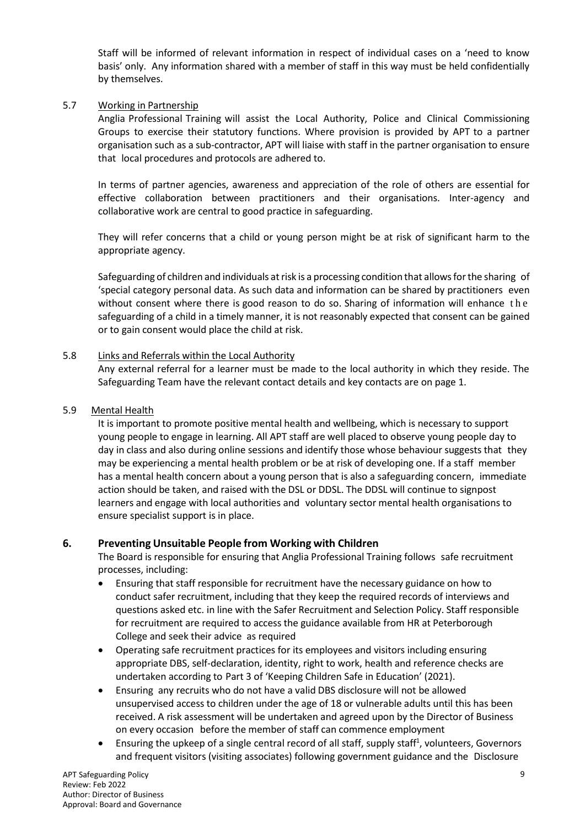Staff will be informed of relevant information in respect of individual cases on a 'need to know basis' only. Any information shared with a member of staff in this way must be held confidentially by themselves.

# 5.7 Working in Partnership

Anglia Professional Training will assist the Local Authority, Police and Clinical Commissioning Groups to exercise their statutory functions. Where provision is provided by APT to a partner organisation such as a sub-contractor, APT will liaise with staff in the partner organisation to ensure that local procedures and protocols are adhered to.

In terms of partner agencies, awareness and appreciation of the role of others are essential for effective collaboration between practitioners and their organisations. Inter-agency and collaborative work are central to good practice in safeguarding.

They will refer concerns that a child or young person might be at risk of significant harm to the appropriate agency.

Safeguarding of children and individuals at risk is a processing condition that allows for the sharing of 'special category personal data. As such data and information can be shared by practitioners even without consent where there is good reason to do so. Sharing of information will enhance t h e safeguarding of a child in a timely manner, it is not reasonably expected that consent can be gained or to gain consent would place the child at risk.

# 5.8 Links and Referrals within the Local Authority

Any external referral for a learner must be made to the local authority in which they reside. The Safeguarding Team have the relevant contact details and key contacts are on page 1.

# 5.9 Mental Health

It is important to promote positive mental health and wellbeing, which is necessary to support young people to engage in learning. All APT staff are well placed to observe young people day to day in class and also during online sessions and identify those whose behaviour suggests that they may be experiencing a mental health problem or be at risk of developing one. If a staff member has a mental health concern about a young person that is also a safeguarding concern, immediate action should be taken, and raised with the DSL or DDSL. The DDSL will continue to signpost learners and engage with local authorities and voluntary sector mental health organisations to ensure specialist support is in place.

# **6. Preventing Unsuitable People from Working with Children**

The Board is responsible for ensuring that Anglia Professional Training follows safe recruitment processes, including:

- Ensuring that staff responsible for recruitment have the necessary guidance on how to conduct safer recruitment, including that they keep the required records of interviews and questions asked etc. in line with the Safer Recruitment and Selection Policy. Staff responsible for recruitment are required to access the guidance available from HR at Peterborough College and seek their advice as required
- Operating safe recruitment practices for its employees and visitors including ensuring appropriate DBS, self-declaration, identity, right to work, health and reference checks are undertaken according to Part 3 of 'Keeping Children Safe in Education' (2021).
- Ensuring any recruits who do not have a valid DBS disclosure will not be allowed unsupervised access to children under the age of 18 or vulnerable adults until this has been received. A risk assessment will be undertaken and agreed upon by the Director of Business on every occasion before the member of staff can commence employment
- Ensuring the upkeep of a single central record of all staff, supply staff<sup>1</sup>, volunteers, Governors and frequent visitors (visiting associates) following government guidance and the Disclosure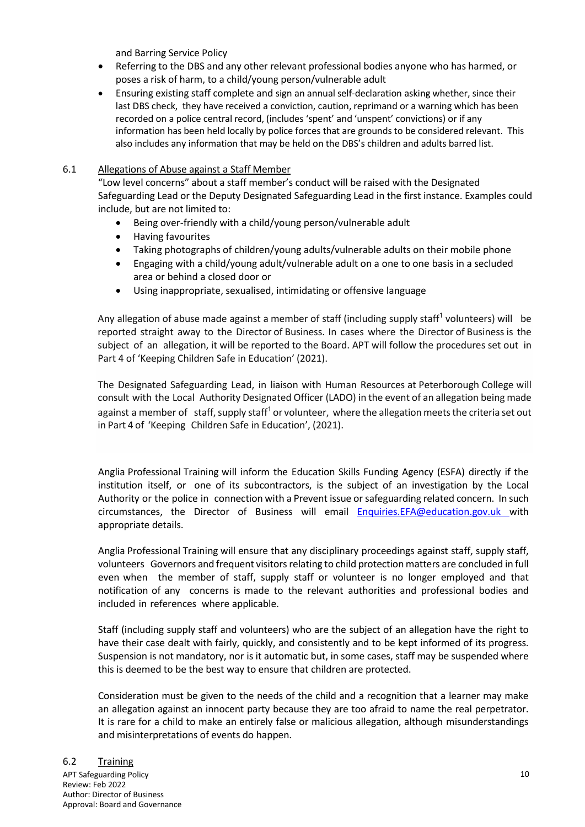and Barring Service Policy

- Referring to the DBS and any other relevant professional bodies anyone who has harmed, or poses a risk of harm, to a child/young person/vulnerable adult
- Ensuring existing staff complete and sign an annual self-declaration asking whether, since their last DBS check, they have received a conviction, caution, reprimand or a warning which has been recorded on a police central record, (includes 'spent' and 'unspent' convictions) or if any information has been held locally by police forces that are grounds to be considered relevant. This also includes any information that may be held on the DBS's children and adults barred list.

# 6.1 Allegations of Abuse against a Staff Member

"Low level concerns" about a staff member's conduct will be raised with the Designated Safeguarding Lead or the Deputy Designated Safeguarding Lead in the first instance. Examples could include, but are not limited to:

- Being over-friendly with a child/young person/vulnerable adult
- Having favourites
- Taking photographs of children/young adults/vulnerable adults on their mobile phone
- Engaging with a child/young adult/vulnerable adult on a one to one basis in a secluded area or behind a closed door or
- Using inappropriate, sexualised, intimidating or offensive language

Any allegation of abuse made against a member of staff (including supply staff<sup>1</sup> volunteers) will be reported straight away to the Director of Business. In cases where the Director of Business is the subject of an allegation, it will be reported to the Board. APT will follow the procedures set out in Part 4 of 'Keeping Children Safe in Education' (2021).

The Designated Safeguarding Lead, in liaison with Human Resources at Peterborough College will consult with the Local Authority Designated Officer (LADO) in the event of an allegation being made against a member of staff, supply staff<sup>1</sup> or volunteer, where the allegation meets the criteria set out in Part 4 of 'Keeping Children Safe in Education', (2021).

Anglia Professional Training will inform the Education Skills Funding Agency (ESFA) directly if the institution itself, or one of its subcontractors, is the subject of an investigation by the Local Authority or the police in connection with a Prevent issue or safeguarding related concern. In such circumstances, the Director of Business will email [Enquiries.EFA@education.gov.uk](mailto:Enquiries.EFA@education.gov.uk) with appropriate details.

Anglia Professional Training will ensure that any disciplinary proceedings against staff, supply staff, volunteers Governors and frequent visitors relating to child protection matters are concluded in full even when the member of staff, supply staff or volunteer is no longer employed and that notification of any concerns is made to the relevant authorities and professional bodies and included in references where applicable.

Staff (including supply staff and volunteers) who are the subject of an allegation have the right to have their case dealt with fairly, quickly, and consistently and to be kept informed of its progress. Suspension is not mandatory, nor is it automatic but, in some cases, staff may be suspended where this is deemed to be the best way to ensure that children are protected.

Consideration must be given to the needs of the child and a recognition that a learner may make an allegation against an innocent party because they are too afraid to name the real perpetrator. It is rare for a child to make an entirely false or malicious allegation, although misunderstandings and misinterpretations of events do happen.

# 6.2 Training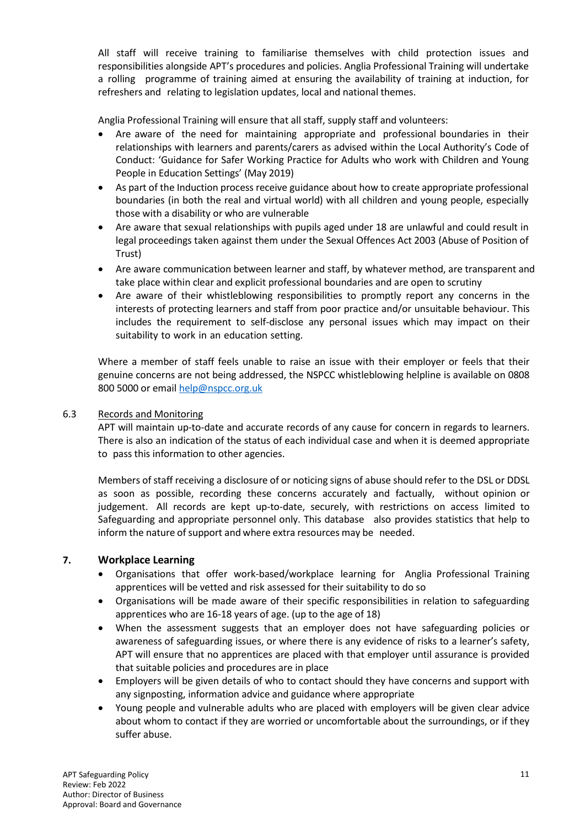All staff will receive training to familiarise themselves with child protection issues and responsibilities alongside APT's procedures and policies. Anglia Professional Training will undertake a rolling programme of training aimed at ensuring the availability of training at induction, for refreshers and relating to legislation updates, local and national themes.

Anglia Professional Training will ensure that all staff, supply staff and volunteers:

- Are aware of the need for maintaining appropriate and professional boundaries in their relationships with learners and parents/carers as advised within the Local Authority's Code of Conduct: 'Guidance for Safer Working Practice for Adults who work with Children and Young People in Education Settings' (May 2019)
- As part of the Induction process receive guidance about how to create appropriate professional boundaries (in both the real and virtual world) with all children and young people, especially those with a disability or who are vulnerable
- Are aware that sexual relationships with pupils aged under 18 are unlawful and could result in legal proceedings taken against them under the Sexual Offences Act 2003 (Abuse of Position of Trust)
- Are aware communication between learner and staff, by whatever method, are transparent and take place within clear and explicit professional boundaries and are open to scrutiny
- Are aware of their whistleblowing responsibilities to promptly report any concerns in the interests of protecting learners and staff from poor practice and/or unsuitable behaviour. This includes the requirement to self-disclose any personal issues which may impact on their suitability to work in an education setting.

Where a member of staff feels unable to raise an issue with their employer or feels that their genuine concerns are not being addressed, the NSPCC whistleblowing helpline is available on 0808 800 5000 or email [help@nspcc.org.uk](mailto:help@nspcc.org.uk)

# 6.3 Records and Monitoring

APT will maintain up-to-date and accurate records of any cause for concern in regards to learners. There is also an indication of the status of each individual case and when it is deemed appropriate to pass this information to other agencies.

Members of staff receiving a disclosure of or noticing signs of abuse should refer to the DSL or DDSL as soon as possible, recording these concerns accurately and factually, without opinion or judgement. All records are kept up-to-date, securely, with restrictions on access limited to Safeguarding and appropriate personnel only. This database also provides statistics that help to inform the nature of support and where extra resources may be needed.

# **7. Workplace Learning**

- Organisations that offer work-based/workplace learning for Anglia Professional Training apprentices will be vetted and risk assessed for their suitability to do so
- Organisations will be made aware of their specific responsibilities in relation to safeguarding apprentices who are 16-18 years of age. (up to the age of 18)
- When the assessment suggests that an employer does not have safeguarding policies or awareness of safeguarding issues, or where there is any evidence of risks to a learner's safety, APT will ensure that no apprentices are placed with that employer until assurance is provided that suitable policies and procedures are in place
- Employers will be given details of who to contact should they have concerns and support with any signposting, information advice and guidance where appropriate
- Young people and vulnerable adults who are placed with employers will be given clear advice about whom to contact if they are worried or uncomfortable about the surroundings, or if they suffer abuse.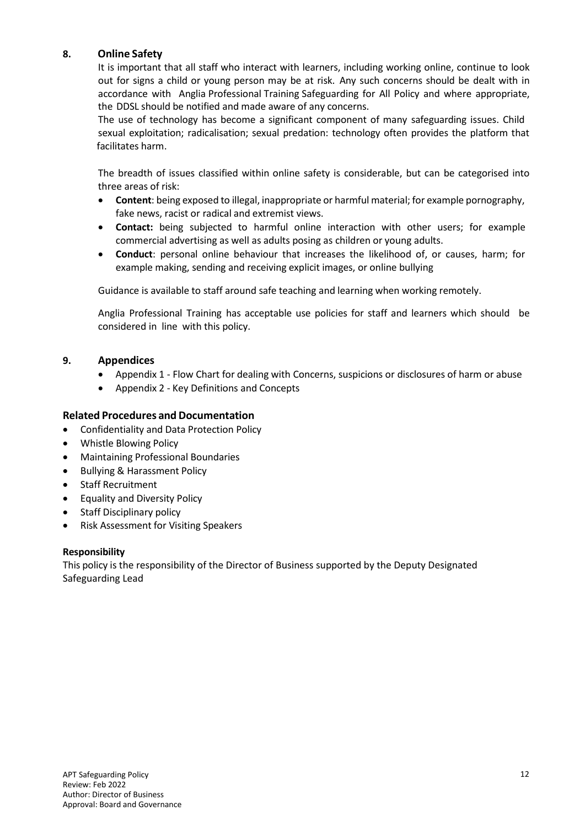# **8. Online Safety**

It is important that all staff who interact with learners, including working online, continue to look out for signs a child or young person may be at risk. Any such concerns should be dealt with in accordance with Anglia Professional Training Safeguarding for All Policy and where appropriate, the DDSL should be notified and made aware of any concerns.

The use of technology has become a significant component of many safeguarding issues. Child sexual exploitation; radicalisation; sexual predation: technology often provides the platform that facilitates harm.

The breadth of issues classified within online safety is considerable, but can be categorised into three areas of risk:

- **Content**: being exposed to illegal, inappropriate or harmful material; for example pornography, fake news, racist or radical and extremist views.
- **Contact:** being subjected to harmful online interaction with other users; for example commercial advertising as well as adults posing as children or young adults.
- **Conduct**: personal online behaviour that increases the likelihood of, or causes, harm; for example making, sending and receiving explicit images, or online bullying

Guidance is available to staff around safe teaching and learning when working remotely.

Anglia Professional Training has acceptable use policies for staff and learners which should be considered in line with this policy.

# **9. Appendices**

- Appendix 1 Flow Chart for dealing with Concerns, suspicions or disclosures of harm or abuse
- Appendix 2 Key Definitions and Concepts

# **Related Procedures and Documentation**

- Confidentiality and Data Protection Policy
- Whistle Blowing Policy
- Maintaining Professional Boundaries
- Bullying & Harassment Policy
- Staff Recruitment
- Equality and Diversity Policy
- Staff Disciplinary policy
- Risk Assessment for Visiting Speakers

# **Responsibility**

This policy is the responsibility of the Director of Business supported by the Deputy Designated Safeguarding Lead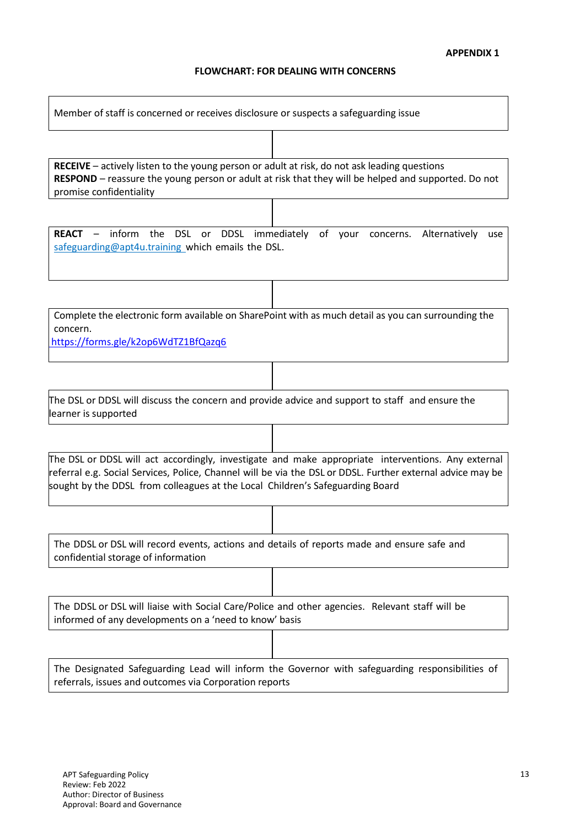# **FLOWCHART: FOR DEALING WITH CONCERNS**

| Member of staff is concerned or receives disclosure or suspects a safeguarding issue                                                                                                                                                                                                              |
|---------------------------------------------------------------------------------------------------------------------------------------------------------------------------------------------------------------------------------------------------------------------------------------------------|
|                                                                                                                                                                                                                                                                                                   |
| <b>RECEIVE</b> – actively listen to the young person or adult at risk, do not ask leading questions<br>RESPOND - reassure the young person or adult at risk that they will be helped and supported. Do not<br>promise confidentiality                                                             |
|                                                                                                                                                                                                                                                                                                   |
| <b>REACT</b> – inform the DSL or DDSL immediately of your concerns. Alternatively<br>use<br>safeguarding@apt4u.training_which emails the DSL.                                                                                                                                                     |
|                                                                                                                                                                                                                                                                                                   |
| Complete the electronic form available on SharePoint with as much detail as you can surrounding the<br>concern.<br>https://forms.gle/k2op6WdTZ1BfQazq6                                                                                                                                            |
|                                                                                                                                                                                                                                                                                                   |
| The DSL or DDSL will discuss the concern and provide advice and support to staff and ensure the<br>learner is supported                                                                                                                                                                           |
|                                                                                                                                                                                                                                                                                                   |
| The DSL or DDSL will act accordingly, investigate and make appropriate interventions. Any external<br>referral e.g. Social Services, Police, Channel will be via the DSL or DDSL. Further external advice may be<br>sought by the DDSL from colleagues at the Local Children's Safeguarding Board |
|                                                                                                                                                                                                                                                                                                   |
| The DDSL or DSL will record events, actions and details of reports made and ensure safe and<br>confidential storage of information                                                                                                                                                                |
|                                                                                                                                                                                                                                                                                                   |
| The DDSL or DSL will liaise with Social Care/Police and other agencies. Relevant staff will be<br>informed of any developments on a 'need to know' basis                                                                                                                                          |
|                                                                                                                                                                                                                                                                                                   |
| The Designated Safeguarding Lead will inform the Governor with safeguarding responsibilities of<br>referrals, issues and outcomes via Corporation reports                                                                                                                                         |

 $\overline{\phantom{a}}$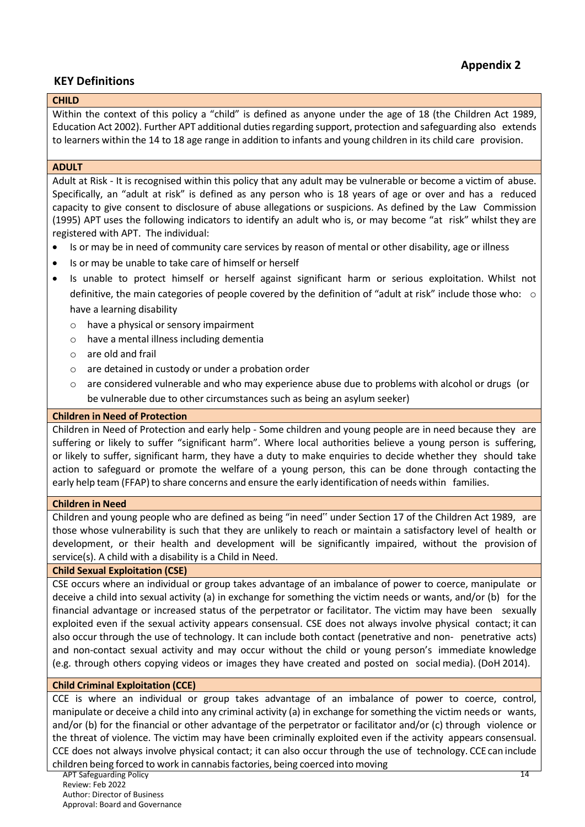# **KEY Definitions**

# **CHILD**

Within the context of this policy a "child" is defined as anyone under the age of 18 (the Children Act 1989, Education Act 2002). Further APT additional duties regarding support, protection and safeguarding also extends to learners within the 14 to 18 age range in addition to infants and young children in its child care provision.

#### **ADULT**

Adult at Risk - It is recognised within this policy that any adult may be vulnerable or become a victim of abuse. Specifically, an "adult at risk" is defined as any person who is 18 years of age or over and has a reduced capacity to give consent to disclosure of abuse allegations or suspicions. As defined by the Law Commission (1995) APT uses the following indicators to identify an adult who is, or may become "at risk" whilst they are registered with APT. The individual:

- Is or may be in need of community care services by reason of mental or other disability, age or illness
- Is or may be unable to take care of himself or herself
- Is unable to protect himself or herself against significant harm or serious exploitation. Whilst not definitive, the main categories of people covered by the definition of "adult at risk" include those who: o have a learning disability
	- o have a physical or sensory impairment
	- o have a mental illness including dementia
	- o are old and frail
	- o are detained in custody or under a probation order
	- $\circ$  are considered vulnerable and who may experience abuse due to problems with alcohol or drugs (or be vulnerable due to other circumstances such as being an asylum seeker)

#### **Children in Need of Protection**

Children in Need of Protection and early help - Some children and young people are in need because they are suffering or likely to suffer "significant harm". Where local authorities believe a young person is suffering, or likely to suffer, significant harm, they have a duty to make enquiries to decide whether they should take action to safeguard or promote the welfare of a young person, this can be done through contacting the early help team (FFAP) to share concerns and ensure the early identification of needs within families.

#### **Children in Need**

Children and young people who are defined as being "in need" under Section 17 of the Children Act 1989, are those whose vulnerability is such that they are unlikely to reach or maintain a satisfactory level of health or development, or their health and development will be significantly impaired, without the provision of service(s). A child with a disability is a Child in Need.

# **Child Sexual Exploitation (CSE)**

CSE occurs where an individual or group takes advantage of an imbalance of power to coerce, manipulate or deceive a child into sexual activity (a) in exchange for something the victim needs or wants, and/or (b) for the financial advantage or increased status of the perpetrator or facilitator. The victim may have been sexually exploited even if the sexual activity appears consensual. CSE does not always involve physical contact; it can also occur through the use of technology. It can include both contact (penetrative and non- penetrative acts) and non-contact sexual activity and may occur without the child or young person's immediate knowledge (e.g. through others copying videos or images they have created and posted on social media). (DoH 2014).

# **Child Criminal Exploitation (CCE)**

CCE is where an individual or group takes advantage of an imbalance of power to coerce, control, manipulate or deceive a child into any criminal activity (a) in exchange forsomething the victim needs or wants, and/or (b) for the financial or other advantage of the perpetrator or facilitator and/or (c) through violence or the threat of violence. The victim may have been criminally exploited even if the activity appears consensual. CCE does not always involve physical contact; it can also occur through the use of technology. CCE can include children being forced to work in cannabisfactories, being coerced into moving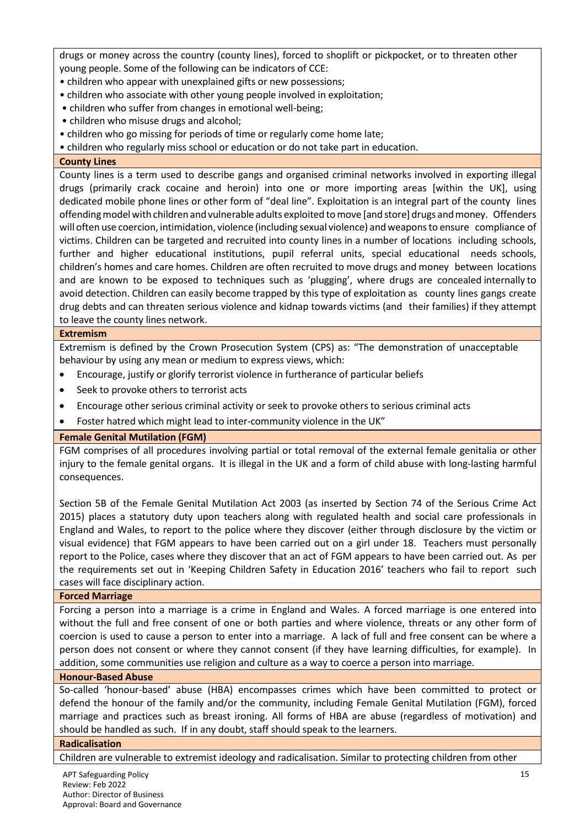drugs or money across the country (county lines), forced to shoplift or pickpocket, or to threaten other young people. Some of the following can be indicators of CCE:

- children who appear with unexplained gifts or new possessions;
- children who associate with other young people involved in exploitation;
- children who suffer from changes in emotional well-being;
- children who misuse drugs and alcohol;
- children who go missing for periods of time or regularly come home late;
- children who regularly miss school or education or do not take part in education.

# **County Lines**

County lines is a term used to describe gangs and organised criminal networks involved in exporting illegal drugs (primarily crack cocaine and heroin) into one or more importing areas [within the UK], using dedicated mobile phone lines or other form of "deal line". Exploitation is an integral part of the county lines offendingmodelwith children andvulnerable adults exploited tomove [and store] drugs andmoney. Offenders will often use coercion, intimidation, violence (including sexual violence) andweaponsto ensure compliance of victims. Children can be targeted and recruited into county lines in a number of locations including schools, further and higher educational institutions, pupil referral units, special educational needs schools, children's homes and care homes. Children are often recruited to move drugs and money between locations and are known to be exposed to techniques such as 'plugging', where drugs are concealed internally to avoid detection. Children can easily become trapped by this type of exploitation as county lines gangs create drug debts and can threaten serious violence and kidnap towards victims (and their families) if they attempt to leave the county lines network.

#### **Extremism**

Extremism is defined by the Crown Prosecution System (CPS) as: "The demonstration of unacceptable behaviour by using any mean or medium to express views, which:

- Encourage, justify or glorify terrorist violence in furtherance of particular beliefs
- Seek to provoke others to terrorist acts
- Encourage other serious criminal activity or seek to provoke others to serious criminal acts
- Foster hatred which might lead to inter-community violence in the UK"

# **Female Genital Mutilation (FGM)**

FGM comprises of all procedures involving partial or total removal of the external female genitalia or other injury to the female genital organs. It is illegal in the UK and a form of child abuse with long-lasting harmful consequences.

Section 5B of the Female Genital Mutilation Act 2003 (as inserted by Section 74 of the Serious Crime Act 2015) places a statutory duty upon teachers along with regulated health and social care professionals in England and Wales, to report to the police where they discover (either through disclosure by the victim or visual evidence) that FGM appears to have been carried out on a girl under 18. Teachers must personally report to the Police, cases where they discover that an act of FGM appears to have been carried out. As per the requirements set out in 'Keeping Children Safety in Education 2016' teachers who fail to report such cases will face disciplinary action.

#### **Forced Marriage**

Forcing a person into a marriage is a crime in England and Wales. A forced marriage is one entered into without the full and free consent of one or both parties and where violence, threats or any other form of coercion is used to cause a person to enter into a marriage. A lack of full and free consent can be where a person does not consent or where they cannot consent (if they have learning difficulties, for example). In addition, some communities use religion and culture as a way to coerce a person into marriage.

#### **Honour-Based Abuse**

So-called 'honour-based' abuse (HBA) encompasses crimes which have been committed to protect or defend the honour of the family and/or the community, including Female Genital Mutilation (FGM), forced marriage and practices such as breast ironing. All forms of HBA are abuse (regardless of motivation) and should be handled as such. If in any doubt, staff should speak to the learners.

#### **Radicalisation**

Children are vulnerable to extremist ideology and radicalisation. Similar to protecting children from other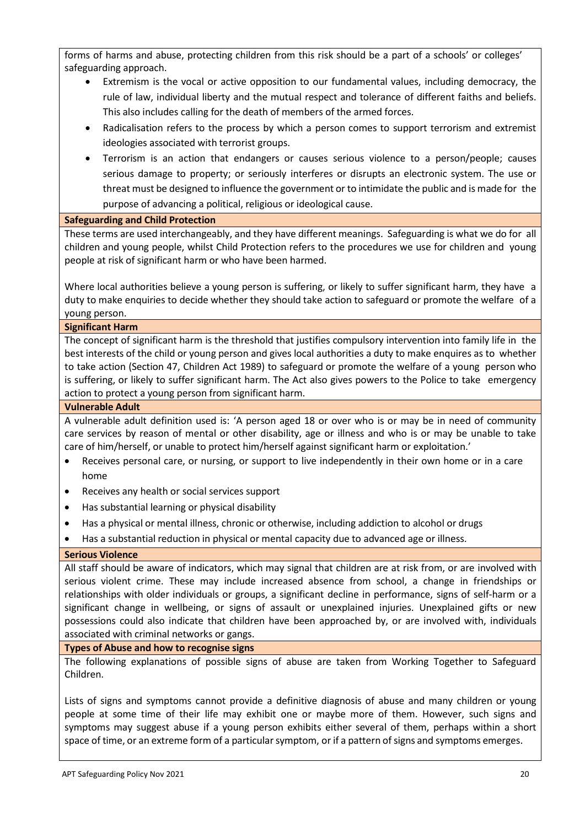forms of harms and abuse, protecting children from this risk should be a part of a schools' or colleges' safeguarding approach.

- Extremism is the vocal or active opposition to our fundamental values, including democracy, the rule of law, individual liberty and the mutual respect and tolerance of different faiths and beliefs. This also includes calling for the death of members of the armed forces.
- Radicalisation refers to the process by which a person comes to support terrorism and extremist ideologies associated with terrorist groups.
- Terrorism is an action that endangers or causes serious violence to a person/people; causes serious damage to property; or seriously interferes or disrupts an electronic system. The use or threat must be designed to influence the government or to intimidate the public and is made for the purpose of advancing a political, religious or ideological cause.

# **Safeguarding and Child Protection**

These terms are used interchangeably, and they have different meanings. Safeguarding is what we do for all children and young people, whilst Child Protection refers to the procedures we use for children and young people at risk of significant harm or who have been harmed.

Where local authorities believe a young person is suffering, or likely to suffer significant harm, they have a duty to make enquiries to decide whether they should take action to safeguard or promote the welfare of a young person.

# **Significant Harm**

The concept of significant harm is the threshold that justifies compulsory intervention into family life in the best interests of the child or young person and gives local authorities a duty to make enquires as to whether to take action (Section 47, Children Act 1989) to safeguard or promote the welfare of a young person who is suffering, or likely to suffer significant harm. The Act also gives powers to the Police to take emergency action to protect a young person from significant harm.

# **Vulnerable Adult**

A vulnerable adult definition used is: 'A person aged 18 or over who is or may be in need of community care services by reason of mental or other disability, age or illness and who is or may be unable to take care of him/herself, or unable to protect him/herself against significant harm or exploitation.'

- Receives personal care, or nursing, or support to live independently in their own home or in a care home
- Receives any health or social services support
- Has substantial learning or physical disability
- Has a physical or mental illness, chronic or otherwise, including addiction to alcohol or drugs
- Has a substantial reduction in physical or mental capacity due to advanced age or illness.

# **Serious Violence**

All staff should be aware of indicators, which may signal that children are at risk from, or are involved with serious violent crime. These may include increased absence from school, a change in friendships or relationships with older individuals or groups, a significant decline in performance, signs of self-harm or a significant change in wellbeing, or signs of assault or unexplained injuries. Unexplained gifts or new possessions could also indicate that children have been approached by, or are involved with, individuals associated with criminal networks or gangs.

**Types of Abuse and how to recognise signs**

The following explanations of possible signs of abuse are taken from Working Together to Safeguard Children.

Lists of signs and symptoms cannot provide a definitive diagnosis of abuse and many children or young people at some time of their life may exhibit one or maybe more of them. However, such signs and symptoms may suggest abuse if a young person exhibits either several of them, perhaps within a short space of time, or an extreme form of a particular symptom, or if a pattern of signs and symptoms emerges.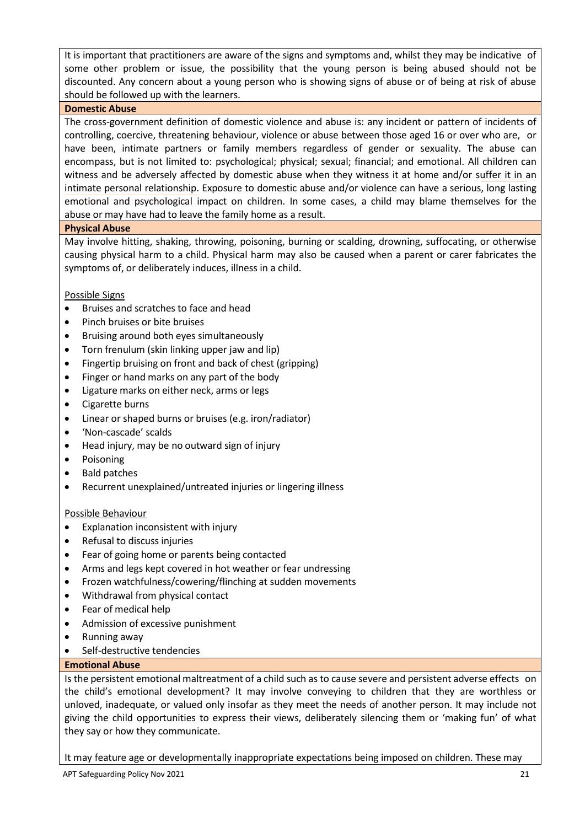It is important that practitioners are aware of the signs and symptoms and, whilst they may be indicative of some other problem or issue, the possibility that the young person is being abused should not be discounted. Any concern about a young person who is showing signs of abuse or of being at risk of abuse should be followed up with the learners.

# **Domestic Abuse**

The cross-government definition of domestic violence and abuse is: any incident or pattern of incidents of controlling, coercive, threatening behaviour, violence or abuse between those aged 16 or over who are, or have been, intimate partners or family members regardless of gender or sexuality. The abuse can encompass, but is not limited to: psychological; physical; sexual; financial; and emotional. All children can witness and be adversely affected by domestic abuse when they witness it at home and/or suffer it in an intimate personal relationship. Exposure to domestic abuse and/or violence can have a serious, long lasting emotional and psychological impact on children. In some cases, a child may blame themselves for the abuse or may have had to leave the family home as a result.

# **Physical Abuse**

May involve hitting, shaking, throwing, poisoning, burning or scalding, drowning, suffocating, or otherwise causing physical harm to a child. Physical harm may also be caused when a parent or carer fabricates the symptoms of, or deliberately induces, illness in a child.

# Possible Signs

- Bruises and scratches to face and head
- Pinch bruises or bite bruises
- Bruising around both eyes simultaneously
- Torn frenulum (skin linking upper jaw and lip)
- Fingertip bruising on front and back of chest (gripping)
- Finger or hand marks on any part of the body
- Ligature marks on either neck, arms or legs
- Cigarette burns
- Linear or shaped burns or bruises (e.g. iron/radiator)
- 'Non-cascade' scalds
- Head injury, may be no outward sign of injury
- Poisoning
- Bald patches
- Recurrent unexplained/untreated injuries or lingering illness

# Possible Behaviour

- Explanation inconsistent with injury
- Refusal to discuss injuries
- Fear of going home or parents being contacted
- Arms and legs kept covered in hot weather or fear undressing
- Frozen watchfulness/cowering/flinching at sudden movements
- Withdrawal from physical contact
- Fear of medical help
- Admission of excessive punishment
- Running away
- Self-destructive tendencies

# **Emotional Abuse**

Is the persistent emotional maltreatment of a child such as to cause severe and persistent adverse effects on the child's emotional development? It may involve conveying to children that they are worthless or unloved, inadequate, or valued only insofar as they meet the needs of another person. It may include not giving the child opportunities to express their views, deliberately silencing them or 'making fun' of what they say or how they communicate.

It may feature age or developmentally inappropriate expectations being imposed on children. These may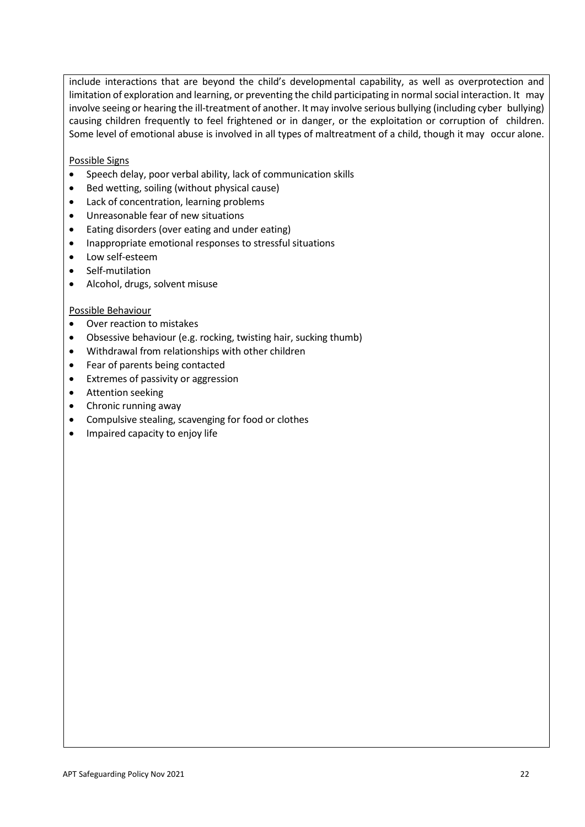include interactions that are beyond the child's developmental capability, as well as overprotection and limitation of exploration and learning, or preventing the child participating in normal social interaction. It may involve seeing or hearing the ill-treatment of another. It may involve serious bullying (including cyber bullying) causing children frequently to feel frightened or in danger, or the exploitation or corruption of children. Some level of emotional abuse is involved in all types of maltreatment of a child, though it may occur alone.

Possible Signs

- Speech delay, poor verbal ability, lack of communication skills
- Bed wetting, soiling (without physical cause)
- Lack of concentration, learning problems
- Unreasonable fear of new situations
- Eating disorders (over eating and under eating)
- Inappropriate emotional responses to stressful situations
- Low self-esteem
- Self-mutilation
- Alcohol, drugs, solvent misuse

#### Possible Behaviour

- Over reaction to mistakes
- Obsessive behaviour (e.g. rocking, twisting hair, sucking thumb)
- Withdrawal from relationships with other children
- Fear of parents being contacted
- Extremes of passivity or aggression
- **•** Attention seeking
- Chronic running away
- Compulsive stealing, scavenging for food or clothes
- Impaired capacity to enjoy life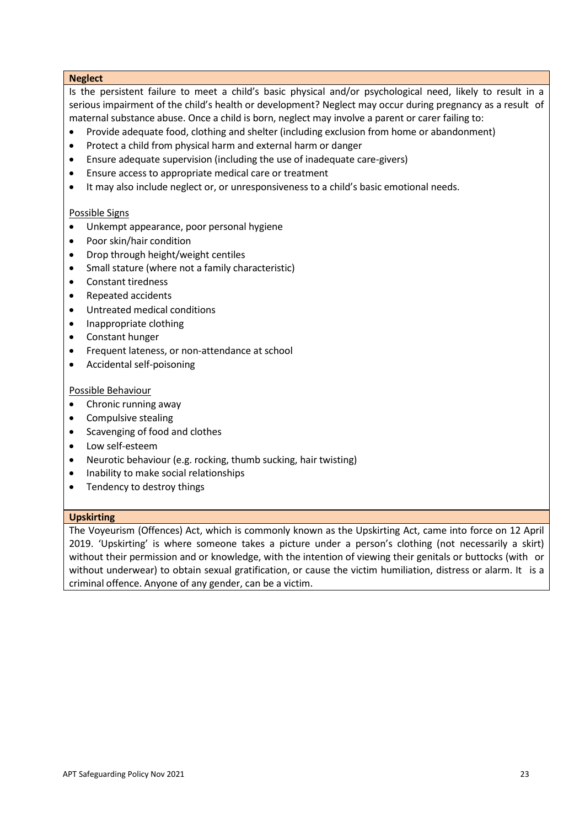#### **Neglect**

Is the persistent failure to meet a child's basic physical and/or psychological need, likely to result in a serious impairment of the child's health or development? Neglect may occur during pregnancy as a result of maternal substance abuse. Once a child is born, neglect may involve a parent or carer failing to:

- Provide adequate food, clothing and shelter (including exclusion from home or abandonment)
- Protect a child from physical harm and external harm or danger
- Ensure adequate supervision (including the use of inadequate care-givers)
- Ensure access to appropriate medical care or treatment
- It may also include neglect or, or unresponsiveness to a child's basic emotional needs.

# Possible Signs

- Unkempt appearance, poor personal hygiene
- Poor skin/hair condition
- Drop through height/weight centiles
- Small stature (where not a family characteristic)
- Constant tiredness
- Repeated accidents
- Untreated medical conditions
- Inappropriate clothing
- Constant hunger
- **•** Frequent lateness, or non-attendance at school
- Accidental self-poisoning

#### Possible Behaviour

- Chronic running away
- Compulsive stealing
- Scavenging of food and clothes
- Low self-esteem
- Neurotic behaviour (e.g. rocking, thumb sucking, hair twisting)
- Inability to make social relationships
- Tendency to destroy things

# **Upskirting**

The Voyeurism (Offences) Act, which is commonly known as the Upskirting Act, came into force on 12 April 2019. 'Upskirting' is where someone takes a picture under a person's clothing (not necessarily a skirt) without their permission and or knowledge, with the intention of viewing their genitals or buttocks (with or without underwear) to obtain sexual gratification, or cause the victim humiliation, distress or alarm. It is a criminal offence. Anyone of any gender, can be a victim.